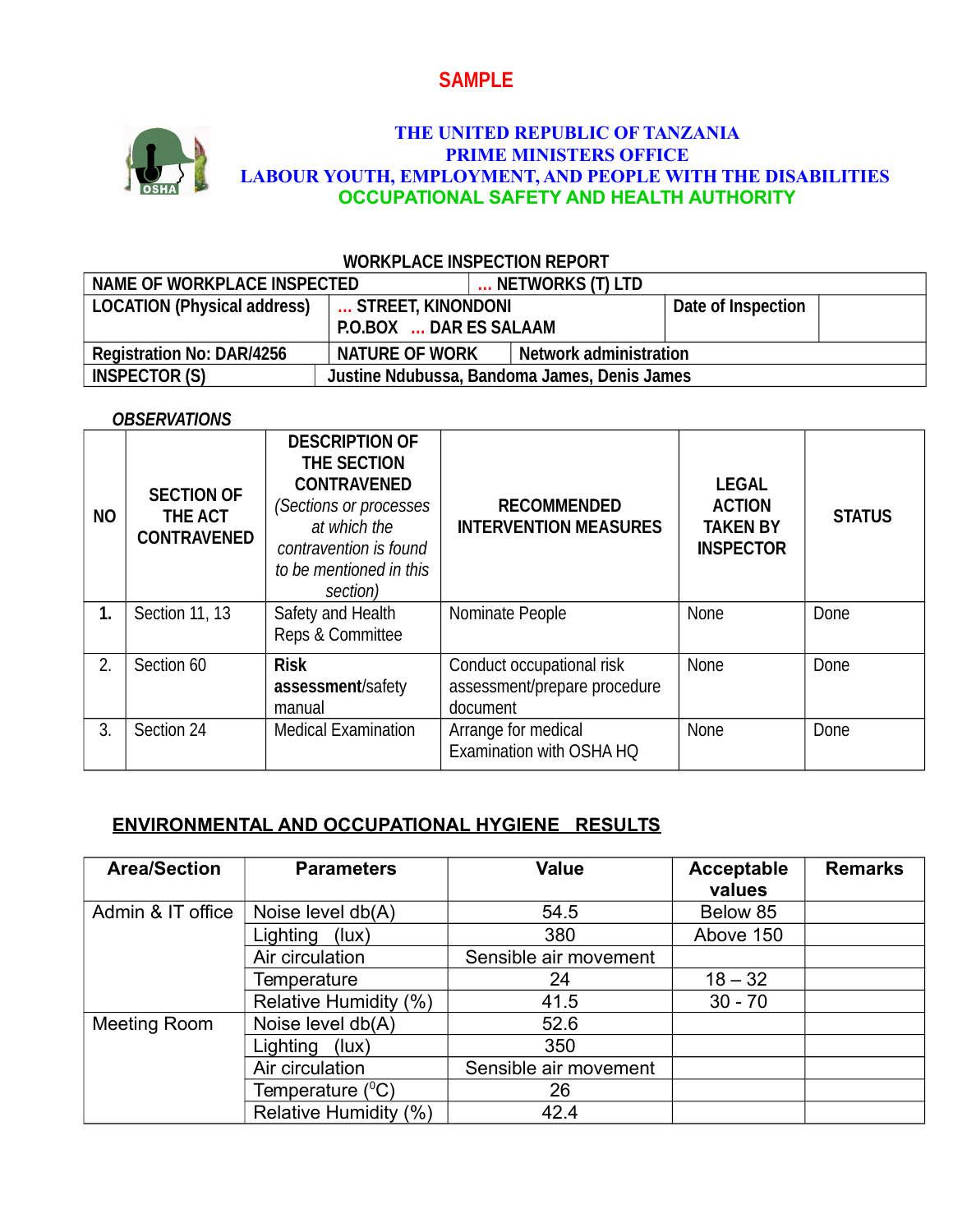# **SAMPLE**



### **THE UNITED REPUBLIC OF TANZANIA PRIME MINISTERS OFFICE LABOUR YOUTH, EMPLOYMENT, AND PEOPLE WITH THE DISABILITIES OCCUPATIONAL SAFETY AND HEALTH AUTHORITY**

| <u>WUNN LAUL INJI LUTIVN INI VINI</u> |                                              |  |                               |  |  |  |  |
|---------------------------------------|----------------------------------------------|--|-------------------------------|--|--|--|--|
| NAME OF WORKPLACE INSPECTED           |                                              |  | NETWORKS (T) LTD              |  |  |  |  |
| <b>LOCATION (Physical address)</b>    | STREET, KINONDONI<br>P.O.BOX  DAR ES SALAAM  |  | Date of Inspection            |  |  |  |  |
| <b>Registration No: DAR/4256</b>      | <b>NATURE OF WORK</b>                        |  | <b>Network administration</b> |  |  |  |  |
| <b>INSPECTOR (S)</b>                  | Justine Ndubussa, Bandoma James, Denis James |  |                               |  |  |  |  |

## **WORKPLACE INSPECTION REPORT**

#### *OBSERVATIONS*

| <b>NO</b> | <b>SECTION OF</b><br>THE ACT<br><b>CONTRAVENED</b> | <b>DESCRIPTION OF</b><br>THE SECTION<br><b>CONTRAVENED</b><br>(Sections or processes<br>at which the<br>contravention is found<br>to be mentioned in this<br>section) | <b>RECOMMENDED</b><br><b>INTERVENTION MEASURES</b>                    | <b>LEGAL</b><br><b>ACTION</b><br><b>TAKEN BY</b><br><b>INSPECTOR</b> | <b>STATUS</b> |
|-----------|----------------------------------------------------|-----------------------------------------------------------------------------------------------------------------------------------------------------------------------|-----------------------------------------------------------------------|----------------------------------------------------------------------|---------------|
| 1.        | Section 11, 13                                     | Safety and Health<br>Reps & Committee                                                                                                                                 | Nominate People                                                       | None                                                                 | Done          |
| 2.        | Section 60                                         | <b>Risk</b><br>assessment/safety<br>manual                                                                                                                            | Conduct occupational risk<br>assessment/prepare procedure<br>document | None                                                                 | Done          |
| 3.        | Section 24                                         | <b>Medical Examination</b>                                                                                                                                            | Arrange for medical<br>Examination with OSHA HO                       | None                                                                 | Done          |

# **ENVIRONMENTAL AND OCCUPATIONAL HYGIENE RESULTS**

| <b>Area/Section</b> | <b>Parameters</b>     | <b>Value</b>          | <b>Acceptable</b><br>values | <b>Remarks</b> |
|---------------------|-----------------------|-----------------------|-----------------------------|----------------|
| Admin & IT office   | Noise level db(A)     | 54.5                  | Below 85                    |                |
|                     | Lighting<br>(lux)     | 380                   | Above 150                   |                |
|                     | Air circulation       | Sensible air movement |                             |                |
|                     | Temperature           | 24                    | $18 - 32$                   |                |
|                     | Relative Humidity (%) | 41.5                  | $30 - 70$                   |                |
| Meeting Room        | Noise level db(A)     | 52.6                  |                             |                |
|                     | Lighting<br>(lux)     | 350                   |                             |                |
|                     | Air circulation       | Sensible air movement |                             |                |
|                     | Temperature $(^{0}C)$ | 26                    |                             |                |
|                     | Relative Humidity (%) | 42.4                  |                             |                |